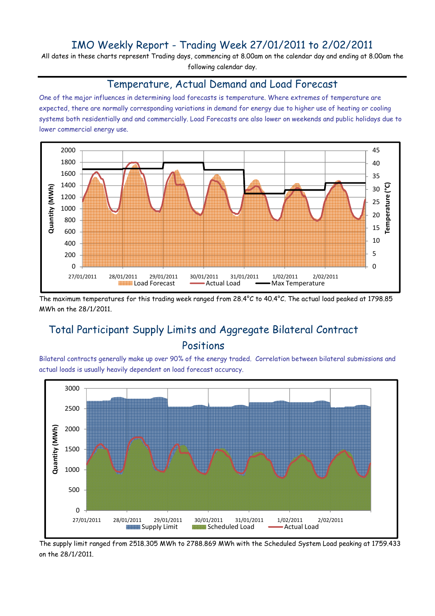### IMO Weekly Report - Trading Week 27/01/2011 to 2/02/2011

All dates in these charts represent Trading days, commencing at 8.00am on the calendar day and ending at 8.00am the following calendar day.

#### Temperature, Actual Demand and Load Forecast

One of the major influences in determining load forecasts is temperature. Where extremes of temperature are expected, there are normally corresponding variations in demand for energy due to higher use of heating or cooling systems both residentially and and commercially. Load Forecasts are also lower on weekends and public holidays due to lower commercial energy use.



The maximum temperatures for this trading week ranged from 28.4°C to 40.4°C. The actual load peaked at 1798.85 MWh on the 28/1/2011.

# Total Participant Supply Limits and Aggregate Bilateral Contract Positions

Bilateral contracts generally make up over 90% of the energy traded. Correlation between bilateral submissions and actual loads is usually heavily dependent on load forecast accuracy.



The supply limit ranged from 2518.305 MWh to 2788.869 MWh with the Scheduled System Load peaking at 1759.433 on the 28/1/2011.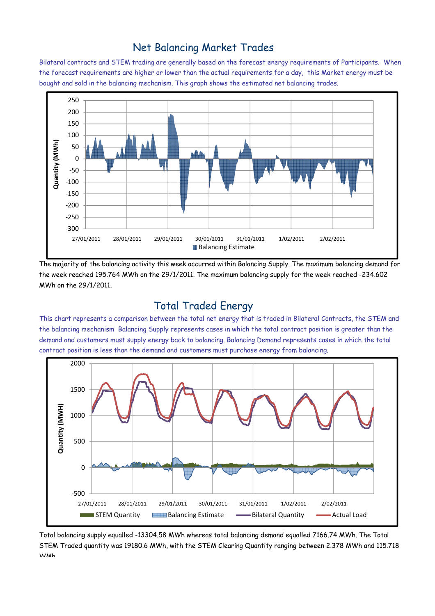### Net Balancing Market Trades

Bilateral contracts and STEM trading are generally based on the forecast energy requirements of Participants. When the forecast requirements are higher or lower than the actual requirements for a day, this Market energy must be bought and sold in the balancing mechanism. This graph shows the estimated net balancing trades.



The majority of the balancing activity this week occurred within Balancing Supply. The maximum balancing demand for the week reached 195.764 MWh on the 29/1/2011. The maximum balancing supply for the week reached -234.602 MWh on the 29/1/2011.

#### Total Traded Energy

This chart represents a comparison between the total net energy that is traded in Bilateral Contracts, the STEM and the balancing mechanism Balancing Supply represents cases in which the total contract position is greater than the demand and customers must supply energy back to balancing. Balancing Demand represents cases in which the total contract position is less than the demand and customers must purchase energy from balancing.



Total balancing supply equalled -13304.58 MWh whereas total balancing demand equalled 7166.74 MWh. The Total STEM Traded quantity was 19180.6 MWh, with the STEM Clearing Quantity ranging between 2.378 MWh and 115.718 WMh.